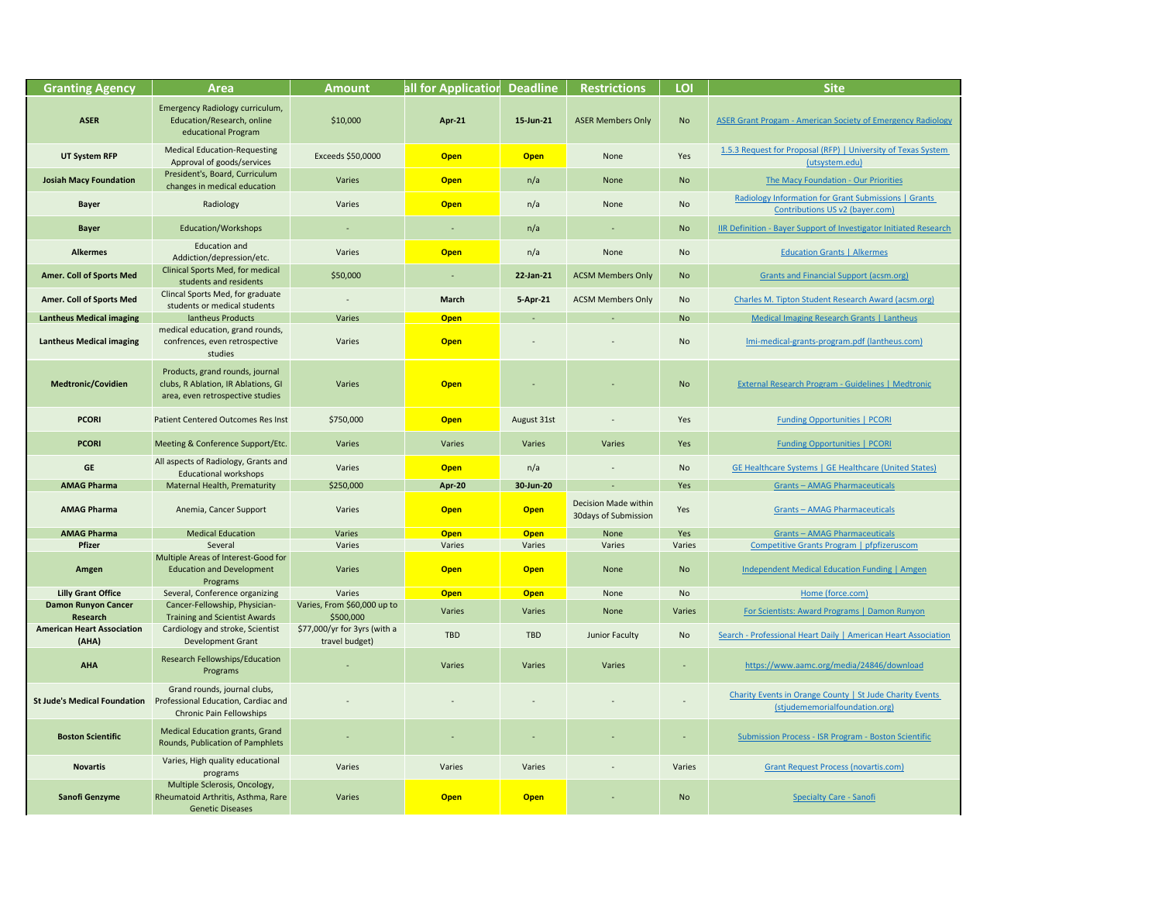quest for Proposal (RFP) | University of Texas System [\(utsystem.edu\)](https://www.utsystem.edu/offices/contracts-and-procurement/153-request-proposal-rfp)

[The Macy Foundation - Our Priorities](https://macyfoundation.org/our-priorities)

**Bay Information for Grant Submissions | Grants** [Contributions US v2 \(bayer.com\)](https://www.grants-contributions.bayer.com/medical-educational-grants/guidelines/radiology-information-grant-submissions)

**Bayer Support of Investigator Initiated Research - Inco I** 

**[Grants and Financial Support \(acsm.org\)](https://www.acsm.org/acsm-membership/support-acsm-foundation/grants-and-financial-support)** 

es M. Tipton Student Research Award (acsm.org)

**[Medical Imaging Research Grants | Lantheus](https://www.lantheus.com/about-us/grants/)** 

**ni-medical-grants-program.pdf (lantheus.com)** 

**Inal Research Program - Guidelines | Medtronic** 

**[Funding Opportunities | PCORI](https://www.pcori.org/funding-opportunities)** 

**Ealthcare Systems | GE Healthcare (United States)** 

**AMAG Pharmaceuticals [Grants – AMAG Pharmaceuticals](https://www.amagpharma.com/research-and-development/grants/)** 

**[Grants – AMAG Pharmaceuticals](https://www.amagpharma.com/research-and-development/grants/)** 

**AMAG Pharmaceuticals [Grants – AMAG Pharmaceuticals](https://www.amagpharma.com/research-and-development/grants/) <u>[Competitive Grants Program | pfpfizeruscom](https://www.pfizer.com/purpose/independent-grants/competitive-grants)</u>** 

**Varies 10 Appen Open Open Open Open [Independent Medical Education Funding | Amgen](https://www.amgen.com/responsibility/commitment-to-community/independent-medical-education-funding)** 

**sand Scientists: Award Programs | Damon Runyon Runyon** 

**Professional Heart Daily | American Heart Association** 

tps://www.aamc.org/media/24846/download

y Events in Orange County | St Jude Charity Events [\(stjudememorialfoundation.org\)](https://stjudememorialfoundation.org/st-jude-fullerton-non-profit-events/)

mission Process - ISR Program - Boston Scientific

[Grant Request Process \(novartis.com\)](http://ngcs.novartis.com/grt.jsp)

| <b>Granting Agency</b>                        | <b>Area</b>                                                                                                | <b>Amount</b>                                  | all for Application | <b>Deadline</b> | <b>Restrictions</b>                                 | LOI                      | <b>Site</b>                                                                       |
|-----------------------------------------------|------------------------------------------------------------------------------------------------------------|------------------------------------------------|---------------------|-----------------|-----------------------------------------------------|--------------------------|-----------------------------------------------------------------------------------|
| <b>ASER</b>                                   | Emergency Radiology curriculum,<br>Education/Research, online<br>educational Program                       | \$10,000                                       | <b>Apr-21</b>       | 15-Jun-21       | <b>ASER Members Only</b>                            | <b>No</b>                | <b>ASER Grant Progam - American Society of Eme</b>                                |
| <b>UT System RFP</b>                          | <b>Medical Education-Requesting</b><br>Approval of goods/services                                          | Exceeds \$50,0000                              | <b>Open</b>         | <b>Open</b>     | None                                                | Yes                      | 1.5.3 Request for Proposal (RFP)   University<br>(utsystem.edu)                   |
| <b>Josiah Macy Foundation</b>                 | President's, Board, Curriculum<br>changes in medical education                                             | Varies                                         | <b>Open</b>         | n/a             | None                                                | <b>No</b>                | <b>The Macy Foundation - Our Prior</b>                                            |
| <b>Bayer</b>                                  | Radiology                                                                                                  | Varies                                         | <b>Open</b>         | n/a             | None                                                | <b>No</b>                | <b>Radiology Information for Grant Submissi</b><br>Contributions US v2 (bayer.cor |
| <b>Bayer</b>                                  | <b>Education/Workshops</b>                                                                                 |                                                |                     | n/a             |                                                     | <b>No</b>                | <b>IIR Definition - Bayer Support of Investigator I</b>                           |
| <b>Alkermes</b>                               | <b>Education and</b><br>Addiction/depression/etc.                                                          | Varies                                         | <b>Open</b>         | n/a             | None                                                | <b>No</b>                | <b>Education Grants   Alkermes</b>                                                |
| <b>Amer. Coll of Sports Med</b>               | Clinical Sports Med, for medical<br>students and residents                                                 | \$50,000                                       |                     | 22-Jan-21       | <b>ACSM Members Only</b>                            | <b>No</b>                | <b>Grants and Financial Support (acsr</b>                                         |
| <b>Amer. Coll of Sports Med</b>               | Clincal Sports Med, for graduate<br>students or medical students                                           |                                                | <b>March</b>        | 5-Apr-21        | <b>ACSM Members Only</b>                            | <b>No</b>                | Charles M. Tipton Student Research Awar                                           |
| <b>Lantheus Medical imaging</b>               | lantheus Products                                                                                          | Varies                                         | <b>Open</b>         |                 |                                                     | <b>No</b>                | Medical Imaging Research Grants   L                                               |
| <b>Lantheus Medical imaging</b>               | medical education, grand rounds,<br>confrences, even retrospective<br>studies                              | Varies                                         | <b>Open</b>         |                 |                                                     | <b>No</b>                | Imi-medical-grants-program.pdf (lanth                                             |
| <b>Medtronic/Covidien</b>                     | Products, grand rounds, journal<br>clubs, R Ablation, IR Ablations, GI<br>area, even retrospective studies | Varies                                         | <b>Open</b>         |                 |                                                     | <b>No</b>                | External Research Program - Guidelines                                            |
| <b>PCORI</b>                                  | <b>Patient Centered Outcomes Res Inst</b>                                                                  | \$750,000                                      | <b>Open</b>         | August 31st     |                                                     | Yes                      | <b>Funding Opportunities   PCOF</b>                                               |
| <b>PCORI</b>                                  | Meeting & Conference Support/Etc.                                                                          | Varies                                         | Varies              | Varies          | Varies                                              | Yes                      | <b>Funding Opportunities   PCOP</b>                                               |
| <b>GE</b>                                     | All aspects of Radiology, Grants and<br><b>Educational workshops</b>                                       | Varies                                         | <b>Open</b>         | n/a             |                                                     | <b>No</b>                | <b>GE Healthcare Systems   GE Healthcare (L</b>                                   |
| <b>AMAG Pharma</b>                            | Maternal Health, Prematurity                                                                               | \$250,000                                      | <b>Apr-20</b>       | 30-Jun-20       | $\blacksquare$                                      | Yes                      | <b>Grants-AMAG Pharmaceutica</b>                                                  |
| <b>AMAG Pharma</b>                            | Anemia, Cancer Support                                                                                     | Varies                                         | <b>Open</b>         | <b>Open</b>     | <b>Decision Made within</b><br>30days of Submission | Yes                      | <b>Grants-AMAG Pharmaceutica</b>                                                  |
| <b>AMAG Pharma</b>                            | <b>Medical Education</b>                                                                                   | Varies                                         | <b>Open</b>         | <b>Open</b>     | None                                                | Yes                      | <b>Grants-AMAG Pharmaceutica</b>                                                  |
| <b>Pfizer</b>                                 | Several                                                                                                    | Varies                                         | Varies              | Varies          | Varies                                              | Varies                   | Competitive Grants Program   pfpfiz                                               |
| Amgen                                         | Multiple Areas of Interest-Good for<br><b>Education and Development</b><br>Programs                        | Varies                                         | <b>Open</b>         | <b>Open</b>     | None                                                | <b>No</b>                | <b>Independent Medical Education Fundin</b>                                       |
| <b>Lilly Grant Office</b>                     | Several, Conference organizing                                                                             | Varies                                         | <b>Open</b>         | <b>Open</b>     | None                                                | No                       | Home (force.com)                                                                  |
| <b>Damon Runyon Cancer</b><br><b>Research</b> | Cancer-Fellowship, Physician-<br><b>Training and Scientist Awards</b>                                      | Varies, From \$60,000 up to<br>\$500,000       | Varies              | <b>Varies</b>   | None                                                | Varies                   | <b>For Scientists: Award Programs   Dame</b>                                      |
| <b>American Heart Association</b><br>(AHA)    | Cardiology and stroke, Scientist<br><b>Development Grant</b>                                               | \$77,000/yr for 3yrs (with a<br>travel budget) | <b>TBD</b>          | <b>TBD</b>      | Junior Faculty                                      | <b>No</b>                | Search - Professional Heart Daily   American I                                    |
| <b>AHA</b>                                    | <b>Research Fellowships/Education</b><br>Programs                                                          |                                                | Varies              | Varies          | Varies                                              |                          | https://www.aamc.org/media/24846/                                                 |
| <b>St Jude's Medical Foundation</b>           | Grand rounds, journal clubs,<br>Professional Education, Cardiac and<br><b>Chronic Pain Fellowships</b>     |                                                |                     |                 |                                                     | $\overline{\phantom{a}}$ | Charity Events in Orange County   St Jude<br>(stjudememorialfoundation.or         |
| <b>Boston Scientific</b>                      | <b>Medical Education grants, Grand</b><br>Rounds, Publication of Pamphlets                                 |                                                |                     |                 |                                                     |                          | <b>Submission Process - ISR Program - Bost</b>                                    |
| <b>Novartis</b>                               | Varies, High quality educational<br>programs                                                               | Varies                                         | Varies              | Varies          |                                                     | Varies                   | <b>Grant Request Process (novartis.</b>                                           |
| Sanofi Genzyme                                | Multiple Sclerosis, Oncology,<br>Rheumatoid Arthritis, Asthma, Rare<br><b>Genetic Diseases</b>             | Varies                                         | <b>Open</b>         | <b>Open</b>     |                                                     | <b>No</b>                | <b>Specialty Care - Sanofi</b>                                                    |

**11 Progam - American Society of Emergency Radiology**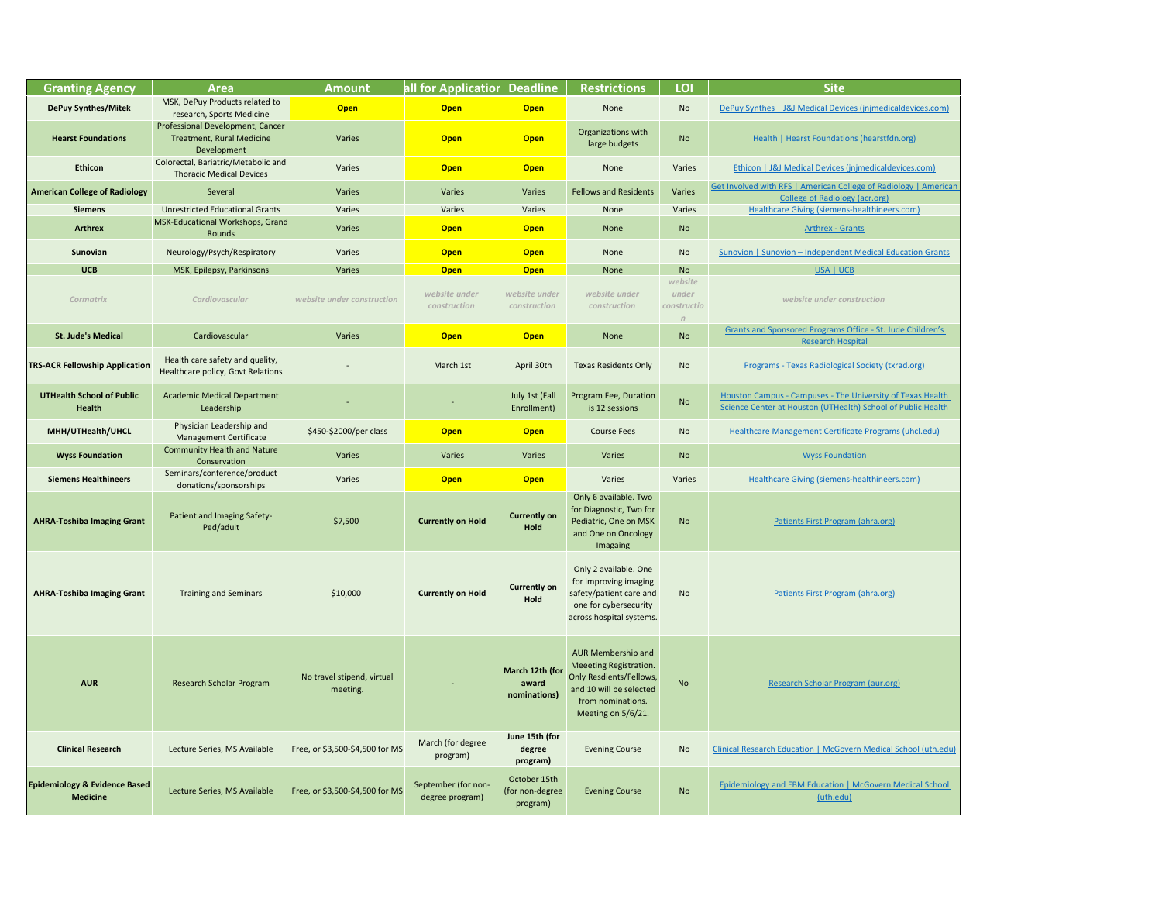*website under construction* 

**St. Jude Children's Appropriate Varies Office - St. Jude Children's** [Research Hospital](https://www.stjude.org/research/shared-resources/grants-and-sponsored-programs-office.html)

Fograms - Texas Radiological Society (txrad.org)

ram Fee, Duration **No [Houston Campus - Campuses - The University of Texas Health](https://sph.uth.edu/campuses/houston) Campus**<br>is 12 sessions **No Science Center at Houston (UTHealth**) School of Public Health

**hcare Management Certificate Programs (uhcl.edu)** 

[Healthcare Giving \(siemens-healthineers.com\)](https://www.siemens-healthineers.com/en-us/about-us/siemens-healthcare-giving-in-the-usa)

[Patients First Program \(ahra.org\)](https://www.ahra.org/PatientsFirstProgram#.YG8La8-SlaQ)

[Patients First Program \(ahra.org\)](https://www.ahra.org/PatientsFirstProgram#.YG8La8-SlaQ)

[Research Scholar Program \(aur.org\)](https://www.aur.org/annual-meeting/research-scholar-program)

Evening Course Incovernees Consearch Education | McGovern Medical School (uth.edu)

| <b>Granting Agency</b>                                      | <b>Area</b>                                                                         |                                        | all for Application<br><b>Deadline</b><br><b>Amount</b> |                                             | <b>Restrictions</b>                                                                                                                                  | LOI                                  | <b>Site</b>                                                                           |
|-------------------------------------------------------------|-------------------------------------------------------------------------------------|----------------------------------------|---------------------------------------------------------|---------------------------------------------|------------------------------------------------------------------------------------------------------------------------------------------------------|--------------------------------------|---------------------------------------------------------------------------------------|
|                                                             | MSK, DePuy Products related to                                                      |                                        |                                                         |                                             |                                                                                                                                                      | No                                   |                                                                                       |
| <b>DePuy Synthes/Mitek</b>                                  | research, Sports Medicine                                                           | <b>Open</b>                            | <b>Open</b>                                             | <b>Open</b>                                 | None                                                                                                                                                 |                                      | DePuy Synthes   J&J Medical Devices (j                                                |
| <b>Hearst Foundations</b>                                   | Professional Development, Cancer<br><b>Treatment, Rural Medicine</b><br>Development | Varies                                 | <b>Open</b>                                             | <b>Open</b>                                 | Organizations with<br>No<br>large budgets                                                                                                            |                                      | Health   Hearst Foundations (I                                                        |
| <b>Ethicon</b>                                              | Colorectal, Bariatric/Metabolic and<br><b>Thoracic Medical Devices</b>              | Varies                                 | <b>Open</b>                                             | <b>Open</b>                                 | None                                                                                                                                                 | Varies                               | Ethicon   J&J Medical Devices (jnjm                                                   |
| <b>American College of Radiology</b>                        | Several                                                                             | Varies                                 | Varies                                                  | Varies                                      | <b>Fellows and Residents</b>                                                                                                                         | Varies                               | <b>Get Involved with RFS   American College</b>                                       |
| <b>Siemens</b>                                              | <b>Unrestricted Educational Grants</b>                                              | Varies                                 | Varies                                                  | Varies                                      | None                                                                                                                                                 | Varies                               | <b>College of Radiology (a</b><br><b>Healthcare Giving (siemens-hea</b>               |
| <b>Arthrex</b>                                              | MSK-Educational Workshops, Grand<br>Rounds                                          | Varies                                 | <b>Open</b>                                             | <b>Open</b>                                 | None                                                                                                                                                 | <b>No</b>                            | <b>Arthrex - Grants</b>                                                               |
| Sunovian                                                    | Neurology/Psych/Respiratory                                                         | Varies                                 | <b>Open</b>                                             | <b>Open</b>                                 | None                                                                                                                                                 |                                      | Sunovion   Sunovion - Independent Me                                                  |
| <b>UCB</b>                                                  | MSK, Epilepsy, Parkinsons                                                           | Varies                                 | <b>Open</b>                                             | <b>Open</b>                                 | None                                                                                                                                                 | <b>No</b>                            | USA   UCB                                                                             |
| <b>Cormatrix</b>                                            | <b>Cardiovascular</b>                                                               | website under construction             | website under<br>construction                           | website under<br>construction               | website under<br>construction                                                                                                                        | website<br>under<br>constructio<br>n | website under constru                                                                 |
| <b>St. Jude's Medical</b>                                   | Cardiovascular                                                                      | Varies                                 | <b>Open</b>                                             | <b>Open</b>                                 | None                                                                                                                                                 | <b>No</b>                            | <b>Grants and Sponsored Programs Offic</b><br><b>Research Hospita</b>                 |
| <b>TRS-ACR Fellowship Application</b>                       | Health care safety and quality,<br>Healthcare policy, Govt Relations                |                                        | March 1st                                               | April 30th                                  | <b>Texas Residents Only</b>                                                                                                                          | No                                   | Programs - Texas Radiological So                                                      |
| <b>UTHealth School of Public</b><br><b>Health</b>           | <b>Academic Medical Department</b><br>Leadership                                    |                                        |                                                         | July 1st (Fall<br>Enrollment)               | Program Fee, Duration<br>is 12 sessions                                                                                                              | <b>No</b>                            | Houston Campus - Campuses - The Univ<br><b>Science Center at Houston (UTHealth) 9</b> |
| MHH/UTHealth/UHCL                                           | Physician Leadership and<br><b>Management Certificate</b>                           | \$450-\$2000/per class                 | <b>Open</b>                                             | <b>Open</b>                                 | <b>Course Fees</b>                                                                                                                                   | No                                   | <b>Healthcare Management Certificate</b>                                              |
| <b>Wyss Foundation</b>                                      | <b>Community Health and Nature</b><br>Conservation                                  | Varies                                 | Varies                                                  | Varies                                      | Varies                                                                                                                                               | <b>No</b>                            | <b>Wyss Foundation</b>                                                                |
| <b>Siemens Healthineers</b>                                 | Seminars/conference/product<br>donations/sponsorships                               | Varies                                 | <b>Open</b>                                             | <b>Open</b>                                 | Varies                                                                                                                                               | Varies                               | <b>Healthcare Giving (siemens-hea</b>                                                 |
| <b>AHRA-Toshiba Imaging Grant</b>                           | Patient and Imaging Safety-<br>Ped/adult                                            | \$7,500                                | <b>Currently on Hold</b>                                | <b>Currently on</b><br>Hold                 | Only 6 available. Two<br>for Diagnostic, Two for<br>Pediatric, One on MSK<br>and One on Oncology<br>Imagaing                                         | <b>No</b>                            | Patients First Program (a                                                             |
| <b>AHRA-Toshiba Imaging Grant</b>                           | <b>Training and Seminars</b>                                                        | \$10,000                               | <b>Currently on Hold</b>                                | <b>Currently on</b><br>Hold                 | Only 2 available. One<br>for improving imaging<br>safety/patient care and<br>No<br>one for cybersecurity<br>across hospital systems.                 |                                      | Patients First Program (a                                                             |
| <b>AUR</b>                                                  | <b>Research Scholar Program</b>                                                     | No travel stipend, virtual<br>meeting. |                                                         | March 12th (for<br>award<br>nominations)    | AUR Membership and<br>Meeeting Registration.<br><b>Only Resdients/Fellows,</b><br>and 10 will be selected<br>from nominations.<br>Meeting on 5/6/21. | <b>No</b>                            | <b>Research Scholar Program</b>                                                       |
| <b>Clinical Research</b>                                    | Lecture Series, MS Available                                                        | Free, or \$3,500-\$4,500 for MS        | March (for degree<br>program)                           | June 15th (for<br>degree<br>program)        | <b>Evening Course</b>                                                                                                                                |                                      | <b>Clinical Research Education   McGovern I</b>                                       |
| <b>Epidemiology &amp; Evidence Based</b><br><b>Medicine</b> | Lecture Series, MS Available                                                        | Free, or \$3,500-\$4,500 for MS        | September (for non-<br>degree program)                  | October 15th<br>(for non-degree<br>program) | <b>Evening Course</b>                                                                                                                                | <b>No</b>                            | <b>Epidemiology and EBM Education   Mc</b><br>(uth.edu)                               |

| ٠<br>. . |    |                          |
|----------|----|--------------------------|
| ٠        | P) | ۳<br>$\frac{1}{2}$<br>۰. |
| ×        |    | ٠                        |
| -        |    |                          |

**vnthes | J&J Medical Devices (jnjmedicaldevices.com)** 

[Health | Hearst Foundations \(hearstfdn.org\)](https://www.hearstfdn.org/health)

Thoracic Medical Devices (jnjmedicaldevices.com) **Connect Propriets** Ethicon | J&J Medical Devices (

**American Varies Varies Varies Varies Varies Varies Varies Varies Varies Varies Fellows College Varies College** V<br>Tamerican Lewith Residents American College of Radiology | American Lewith RFS | American Lewitan College of [College of Radiology \(acr.org\)](https://www.acr.org/Member-Resources/rfs/fellowships) **[Healthcare Giving \(siemens-healthineers.com\)](https://www.siemens-healthineers.com/en-us/about-us/siemens-healthcare-giving-in-the-usa)** 

**n** | Sunovion – Independent Medical Education Grants

ology and EBM Education | McGovern Medical School [\(uth.edu\)](https://med.uth.edu/crebm/epidemiology-and-ebm-education/)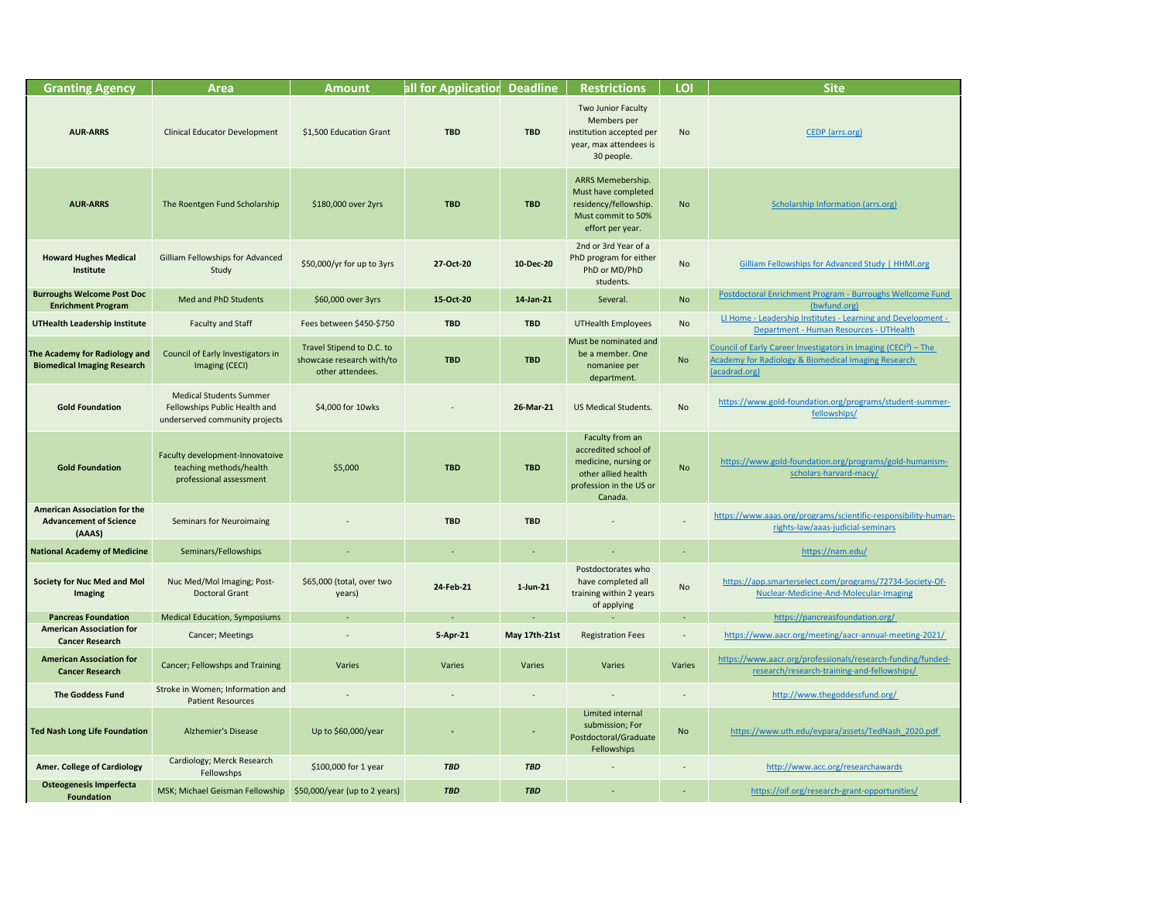| <b>Granting Agency</b>                                                         | <b>Area</b>                                                                                       | <b>Amount</b>                                                              | all for Application | <b>Deadline</b>      | <b>Restrictions</b>                                                                                                          | LOI            | <b>Site</b>                                                                                                                                                                                               |
|--------------------------------------------------------------------------------|---------------------------------------------------------------------------------------------------|----------------------------------------------------------------------------|---------------------|----------------------|------------------------------------------------------------------------------------------------------------------------------|----------------|-----------------------------------------------------------------------------------------------------------------------------------------------------------------------------------------------------------|
| <b>AUR-ARRS</b>                                                                | <b>Clinical Educator Development</b>                                                              | \$1,500 Education Grant                                                    | <b>TBD</b>          | <b>TBD</b>           | Two Junior Faculty<br>Members per<br>institution accepted per<br>year, max attendees is<br>30 people.                        | <b>No</b>      | CEDP (arrs.org)                                                                                                                                                                                           |
| <b>AUR-ARRS</b>                                                                | The Roentgen Fund Scholarship                                                                     | \$180,000 over 2yrs                                                        | <b>TBD</b>          | <b>TBD</b>           | ARRS Memebership.<br>Must have completed<br>residency/fellowship.<br>Must commit to 50%<br>effort per year.                  | <b>No</b>      | <b>Scholarship Information (arrs.org)</b>                                                                                                                                                                 |
| <b>Howard Hughes Medical</b><br>Institute                                      | Gilliam Fellowships for Advanced<br>Study                                                         | \$50,000/yr for up to 3yrs                                                 | 27-Oct-20           | 10-Dec-20            | 2nd or 3rd Year of a<br>PhD program for either<br>PhD or MD/PhD<br>students.                                                 | <b>No</b>      | Gilliam Fellowships for Advanced Study   HHMI.org                                                                                                                                                         |
| <b>Burroughs Welcome Post Doc</b><br><b>Enrichment Program</b>                 | Med and PhD Students                                                                              | \$60,000 over 3yrs                                                         | 15-Oct-20           | 14-Jan-21            | Several.                                                                                                                     | <b>No</b>      | Postdoctoral Enrichment Program - Burroughs Wellcome Fund<br>(bwfund.org)                                                                                                                                 |
| <b>UTHealth Leadership Institute</b>                                           | <b>Faculty and Staff</b>                                                                          | Fees between \$450-\$750                                                   | <b>TBD</b>          | <b>TBD</b>           | <b>UTHealth Employees</b>                                                                                                    | <b>No</b>      | LI Home - Leadership Institutes - Learning and Development -                                                                                                                                              |
| The Academy for Radiology and<br><b>Biomedical Imaging Research</b>            | Council of Early Investigators in<br>Imaging (CECI)                                               | Travel Stipend to D.C. to<br>showcase research with/to<br>other attendees. | <b>TBD</b>          | <b>TBD</b>           | Must be nominated and<br>be a member. One<br>nomaniee per<br>department.                                                     | <b>No</b>      | Department - Human Resources - UTHealth<br>Council of Early Career Investigators in Imaging (CECI <sup>2</sup> ) - The<br><b>Academy for Radiology &amp; Biomedical Imaging Research</b><br>(acadrad.org) |
| <b>Gold Foundation</b>                                                         | <b>Medical Students Summer</b><br>Fellowships Public Health and<br>underserved community projects | \$4,000 for 10wks                                                          |                     | 26-Mar-21            | <b>US Medical Students.</b>                                                                                                  | <b>No</b>      | https://www.gold-foundation.org/programs/student-summer-<br>fellowships/                                                                                                                                  |
| <b>Gold Foundation</b>                                                         | Faculty development-Innovatoive<br>teaching methods/health<br>professional assessment             | \$5,000                                                                    | <b>TBD</b>          | <b>TBD</b>           | Faculty from an<br>accredited school of<br>medicine, nursing or<br>other allied health<br>profession in the US or<br>Canada. | <b>No</b>      | https://www.gold-foundation.org/programs/gold-humanism-<br>scholars-harvard-macy/                                                                                                                         |
| <b>American Association for the</b><br><b>Advancement of Science</b><br>(AAAS) | <b>Seminars for Neuroimaing</b>                                                                   |                                                                            | <b>TBD</b>          | <b>TBD</b>           |                                                                                                                              | $\overline{a}$ | https://www.aaas.org/programs/scientific-responsibility-humar<br>rights-law/aaas-judicial-seminars                                                                                                        |
| <b>National Academy of Medicine</b>                                            | Seminars/Fellowships                                                                              |                                                                            | ۰                   |                      |                                                                                                                              | $\sim$         | https://nam.edu/                                                                                                                                                                                          |
| <b>Society for Nuc Med and Mol</b><br><b>Imaging</b>                           | Nuc Med/Mol Imaging; Post-<br><b>Doctoral Grant</b>                                               | \$65,000 (total, over two<br>years)                                        | 24-Feb-21           | $1$ -Jun-21          | Postdoctorates who<br>have completed all<br>training within 2 years<br>of applying                                           | <b>No</b>      | https://app.smarterselect.com/programs/72734-Society-Of-<br>Nuclear-Medicine-And-Molecular-Imaging                                                                                                        |
| <b>Pancreas Foundation</b>                                                     | <b>Medical Education, Symposiums</b>                                                              |                                                                            | $\sim$              | $\sim$               |                                                                                                                              | $\sim$         | https://pancreasfoundation.org/                                                                                                                                                                           |
| <b>American Association for</b><br><b>Cancer Research</b>                      | <b>Cancer; Meetings</b>                                                                           |                                                                            | 5-Apr-21            | <b>May 17th-21st</b> | <b>Registration Fees</b>                                                                                                     |                | https://www.aacr.org/meeting/aacr-annual-meeting-2021/                                                                                                                                                    |
| <b>American Association for</b><br><b>Cancer Research</b>                      | <b>Cancer; Fellowshps and Training</b>                                                            | Varies                                                                     | Varies              | Varies               | Varies                                                                                                                       | Varies         | https://www.aacr.org/professionals/research-funding/funded-<br>research/research-training-and-fellowships/                                                                                                |
| <b>The Goddess Fund</b>                                                        | Stroke in Women; Information and<br><b>Patient Resources</b>                                      |                                                                            |                     |                      |                                                                                                                              |                | http://www.thegoddessfund.org/                                                                                                                                                                            |
| Ted Nash Long Life Foundation                                                  | <b>Alzhemier's Disease</b>                                                                        | Up to \$60,000/year                                                        |                     |                      | Limited internal<br>submission; For<br>Postdoctoral/Graduate<br>Fellowships                                                  | <b>No</b>      | https://www.uth.edu/evpara/assets/TedNash 2020.pdf                                                                                                                                                        |
| <b>Amer. College of Cardiology</b>                                             | Cardiology; Merck Research<br>Fellowshps                                                          | \$100,000 for 1 year                                                       | <b>TBD</b>          | <b>TBD</b>           |                                                                                                                              |                | http://www.acc.org/researchawards                                                                                                                                                                         |
| <b>Osteogenesis Imperfecta</b><br><b>Foundation</b>                            | MSK; Michael Geisman Fellowship                                                                   | \$50,000/year (up to 2 years)                                              | <b>TBD</b>          | <b>TBD</b>           | $\sim$                                                                                                                       |                | https://oif.org/research-grant-opportunities/                                                                                                                                                             |

## [CEDP \(arrs.org\)](http://www.arrs.org/ARRSLIVE/CEDP)